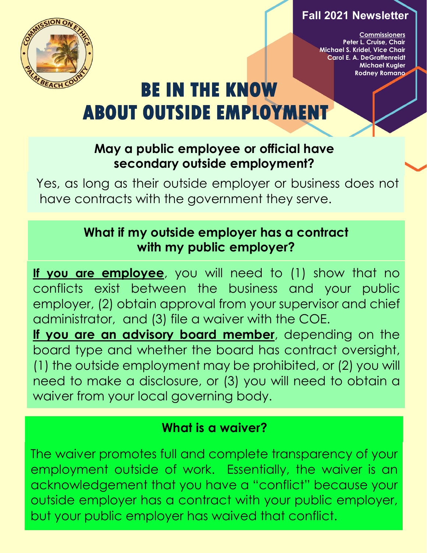#### **Fall 2021 Newsletter**



**Commissioners Peter L. Cruise, Chair Michael S. Kridel, Vice Chair Carol E. A. DeGraffenreidt Michael Kugler Rodney Romano**

# **BE IN THE KNOW ABOUT OUTSIDE EMPLOYMENT**

# **May a public employee or official have secondary outside employment?**

Yes, as long as their outside employer or business does not have contracts with the government they serve.

# **What if my outside employer has a contract with my public employer?**

**If you are employee**, you will need to (1) show that no conflicts exist between the business and your public employer, (2) obtain approval from your supervisor and chief administrator, and (3) file a waiver with the COE. **If you are an advisory board member**, depending on the board type and whether the board has contract oversight, (1) the outside employment may be prohibited, or (2) you will

need to make a disclosure, or (3) you will need to obtain a waiver from your local governing body.

### **What is a waiver?**

The waiver promotes full and complete transparency of your employment outside of work. Essentially, the waiver is an acknowledgement that you have a "conflict" because your outside employer has a contract with your public employer, but your public employer has waived that conflict.